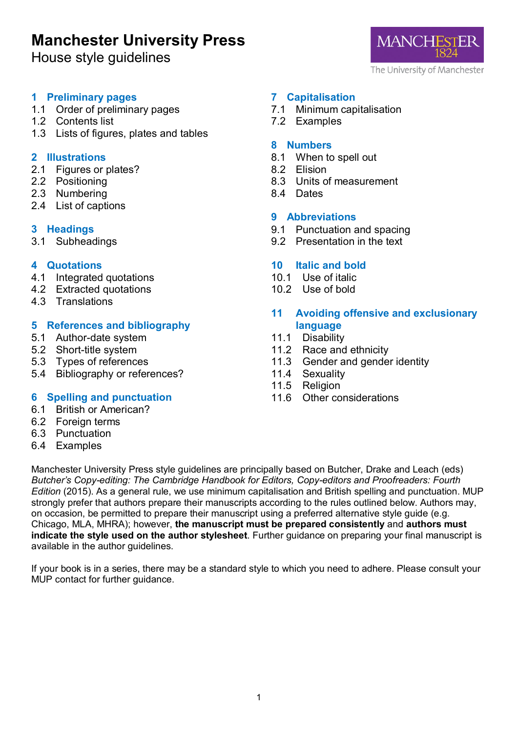# **Manchester University Press**

House style guidelines



#### **1 Preliminary pages**

- 1.1 Order of preliminary pages
- 1.2 Contents list
- 1.3 Lists of figures, plates and tables

#### **2 Illustrations**

- 2.1 Figures or plates?
- 2.2 Positioning
- 2.3 Numbering
- 2.4 List of captions

## **3 Headings**

3.1 Subheadings

## **4 Quotations**

- 4.1 Integrated quotations
- 4.2 Extracted quotations
- 4.3 Translations

## **5 References and bibliography**

- 5.1 Author-date system
- 5.2 Short-title system
- 5.3 Types of references
- 5.4 Bibliography or references?

## **6 Spelling and punctuation**

- 6.1 British or American?
- 6.2 Foreign terms
- 6.3 Punctuation
- 6.4 Examples

## **7 Capitalisation**

- 7.1 Minimum capitalisation
- 7.2 Examples

#### **8 Numbers**

- 8.1 When to spell out
- 8.2 Elision
- 8.3 Units of measurement
- 8.4 Dates

## **9 Abbreviations**

- 9.1 Punctuation and spacing
- 9.2 Presentation in the text

## **10 Italic and bold**

- 10.1 Use of italic
- 10.2 Use of bold

## **11 Avoiding offensive and exclusionary language**

- 11.1 Disability
- 11.2 Race and ethnicity
- 11.3 Gender and gender identity
- 11.4 Sexuality<br>11.5 Religion
- Religion
- 11.6 Other considerations

Manchester University Press style guidelines are principally based on Butcher, Drake and Leach (eds) *Butcher's Copy-editing: The Cambridge Handbook for Editors, Copy-editors and Proofreaders: Fourth Edition* (2015). As a general rule, we use minimum capitalisation and British spelling and punctuation. MUP strongly prefer that authors prepare their manuscripts according to the rules outlined below. Authors may, on occasion, be permitted to prepare their manuscript using a preferred alternative style guide (e.g. Chicago, MLA, MHRA); however, **the manuscript must be prepared consistently** and **authors must indicate the style used on the author stylesheet**. Further guidance on preparing your final manuscript is available in the author guidelines.

If your book is in a series, there may be a standard style to which you need to adhere. Please consult your MUP contact for further guidance.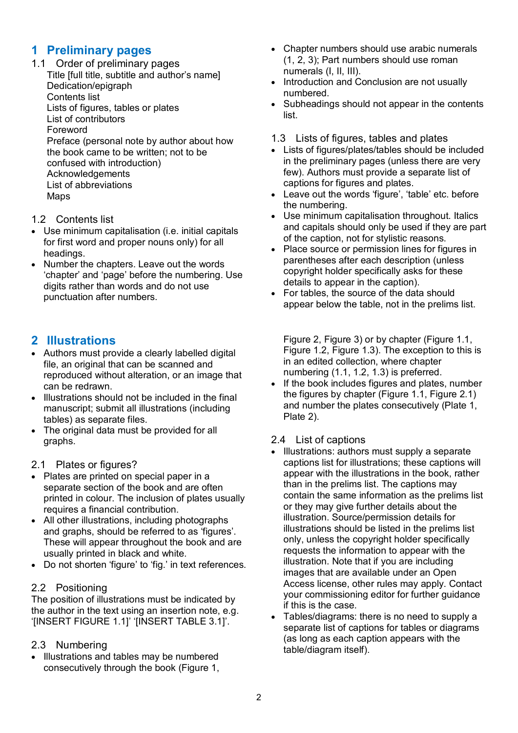## **1 Preliminary pages**

1.1 Order of preliminary pages Title [full title, subtitle and author's name] Dedication/epigraph Contents list

Lists of figures, tables or plates

List of contributors

Foreword

Preface (personal note by author about how the book came to be written; not to be confused with introduction) Acknowledgements List of abbreviations Maps

## 1.2 Contents list

- Use minimum capitalisation (i.e. initial capitals for first word and proper nouns only) for all headings.
- Number the chapters. Leave out the words 'chapter' and 'page' before the numbering. Use digits rather than words and do not use punctuation after numbers.

## **2 Illustrations**

- Authors must provide a clearly labelled digital file, an original that can be scanned and reproduced without alteration, or an image that can be redrawn.
- Illustrations should not be included in the final manuscript; submit all illustrations (including tables) as separate files.
- The original data must be provided for all graphs.

## 2.1 Plates or figures?

- Plates are printed on special paper in a separate section of the book and are often printed in colour. The inclusion of plates usually requires a financial contribution.
- All other illustrations, including photographs and graphs, should be referred to as 'figures'. These will appear throughout the book and are usually printed in black and white.
- Do not shorten 'figure' to 'fig.' in text references.

## 2.2 Positioning

The position of illustrations must be indicated by the author in the text using an insertion note, e.g. '[INSERT FIGURE 1.1]' '[INSERT TABLE 3.1]'.

## 2.3 Numbering

• Illustrations and tables may be numbered consecutively through the book (Figure 1,

- Chapter numbers should use arabic numerals (1, 2, 3); Part numbers should use roman numerals (I, II, III).
- Introduction and Conclusion are not usually numbered.
- Subheadings should not appear in the contents list.
- 1.3 Lists of figures, tables and plates
- Lists of figures/plates/tables should be included in the preliminary pages (unless there are very few). Authors must provide a separate list of captions for figures and plates.
- Leave out the words 'figure', 'table' etc. before the numbering.
- Use minimum capitalisation throughout. Italics and capitals should only be used if they are part of the caption, not for stylistic reasons.
- Place source or permission lines for figures in parentheses after each description (unless copyright holder specifically asks for these details to appear in the caption).
- For tables, the source of the data should appear below the table, not in the prelims list.

Figure 2, Figure 3) or by chapter (Figure 1.1, Figure 1.2, Figure 1.3). The exception to this is in an edited collection, where chapter numbering (1.1, 1.2, 1.3) is preferred.

If the book includes figures and plates, number the figures by chapter (Figure 1.1, Figure 2.1) and number the plates consecutively (Plate 1, Plate 2).

## 2.4 List of captions

- Illustrations: authors must supply a separate captions list for illustrations; these captions will appear with the illustrations in the book, rather than in the prelims list. The captions may contain the same information as the prelims list or they may give further details about the illustration. Source/permission details for illustrations should be listed in the prelims list only, unless the copyright holder specifically requests the information to appear with the illustration. Note that if you are including images that are available under an Open Access license, other rules may apply. Contact your commissioning editor for further guidance if this is the case.
- Tables/diagrams: there is no need to supply a separate list of captions for tables or diagrams (as long as each caption appears with the table/diagram itself).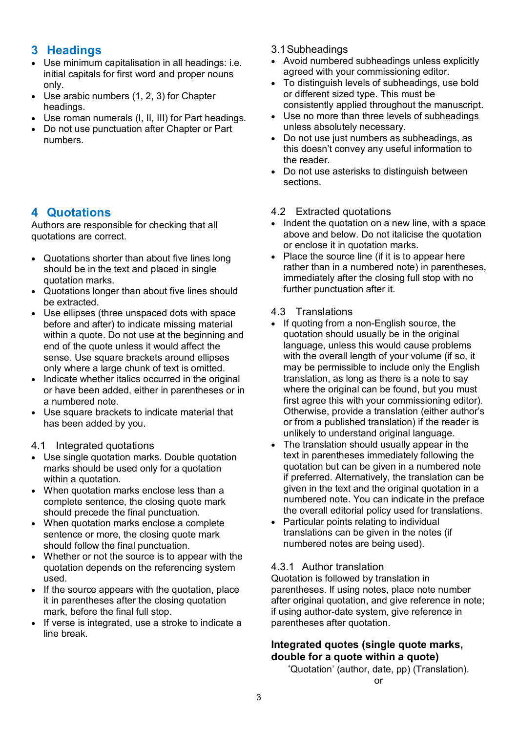## **3 Headings**

- Use minimum capitalisation in all headings: i.e. initial capitals for first word and proper nouns only.
- Use arabic numbers (1, 2, 3) for Chapter headings.
- Use roman numerals (I, II, III) for Part headings.
- Do not use punctuation after Chapter or Part numbers.

## **4 Quotations**

Authors are responsible for checking that all quotations are correct.

- Quotations shorter than about five lines long should be in the text and placed in single quotation marks.
- Quotations longer than about five lines should be extracted.
- Use ellipses (three unspaced dots with space before and after) to indicate missing material within a quote. Do not use at the beginning and end of the quote unless it would affect the sense. Use square brackets around ellipses only where a large chunk of text is omitted.
- Indicate whether italics occurred in the original or have been added, either in parentheses or in a numbered note.
- Use square brackets to indicate material that has been added by you.
- 4.1 Integrated quotations
- Use single quotation marks. Double quotation marks should be used only for a quotation within a quotation.
- When quotation marks enclose less than a complete sentence, the closing quote mark should precede the final punctuation.
- When quotation marks enclose a complete sentence or more, the closing quote mark should follow the final punctuation.
- Whether or not the source is to appear with the quotation depends on the referencing system used.
- If the source appears with the quotation, place it in parentheses after the closing quotation mark, before the final full stop.
- If verse is integrated, use a stroke to indicate a line break.
- 3.1Subheadings
- Avoid numbered subheadings unless explicitly agreed with your commissioning editor.
- To distinguish levels of subheadings, use bold or different sized type. This must be consistently applied throughout the manuscript.
- Use no more than three levels of subheadings unless absolutely necessary.
- Do not use just numbers as subheadings, as this doesn't convey any useful information to the reader.
- Do not use asterisks to distinguish between sections.

## 4.2 Extracted quotations

- Indent the quotation on a new line, with a space above and below. Do not italicise the quotation or enclose it in quotation marks.
- Place the source line (if it is to appear here rather than in a numbered note) in parentheses, immediately after the closing full stop with no further punctuation after it.

#### 4.3 Translations

- If quoting from a non-English source, the quotation should usually be in the original language, unless this would cause problems with the overall length of your volume (if so, it may be permissible to include only the English translation, as long as there is a note to say where the original can be found, but you must first agree this with your commissioning editor). Otherwise, provide a translation (either author's or from a published translation) if the reader is unlikely to understand original language.
- The translation should usually appear in the text in parentheses immediately following the quotation but can be given in a numbered note if preferred. Alternatively, the translation can be given in the text and the original quotation in a numbered note. You can indicate in the preface the overall editorial policy used for translations.
- Particular points relating to individual translations can be given in the notes (if numbered notes are being used).

## 4.3.1 Author translation

Quotation is followed by translation in parentheses. If using notes, place note number after original quotation, and give reference in note; if using author-date system, give reference in parentheses after quotation.

## **Integrated quotes (single quote marks, double for a quote within a quote)**

'Quotation' (author, date, pp) (Translation). or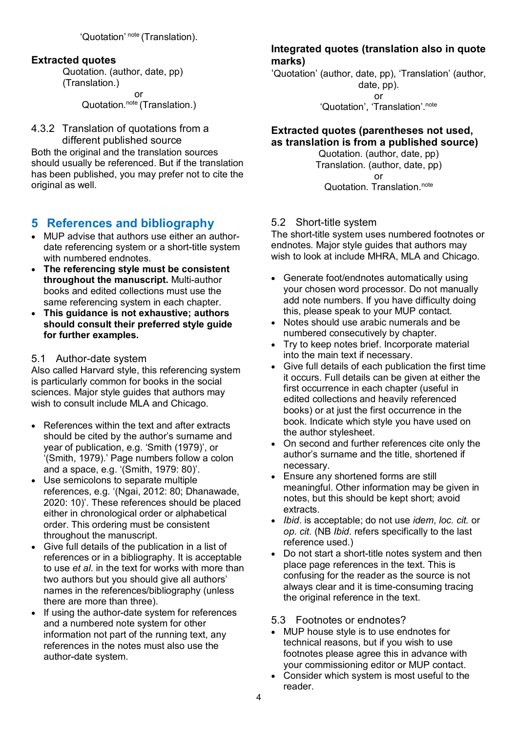'Quotation' note (Translation).

#### **Extracted quotes**

Quotation. (author, date, pp) (Translation.) or Quotation.<sup>note</sup> (Translation.)

#### 4.3.2 Translation of quotations from a different published source

Both the original and the translation sources should usually be referenced. But if the translation has been published, you may prefer not to cite the original as well.

## **5 References and bibliography**

- MUP advise that authors use either an authordate referencing system or a short-title system with numbered endnotes.
- **The referencing style must be consistent throughout the manuscript.** Multi-author books and edited collections must use the same referencing system in each chapter.
- **This guidance is not exhaustive; authors should consult their preferred style guide for further examples.**

#### 5.1 Author-date system

Also called Harvard style, this referencing system is particularly common for books in the social sciences. Major style guides that authors may wish to consult include MLA and Chicago.

- References within the text and after extracts should be cited by the author's surname and year of publication, e.g. 'Smith (1979)', or '(Smith, 1979).' Page numbers follow a colon and a space, e.g. '(Smith, 1979: 80)'.
- Use semicolons to separate multiple references, e.g. '(Ngai, 2012: 80; Dhanawade, 2020: 10)'. These references should be placed either in chronological order or alphabetical order. This ordering must be consistent throughout the manuscript.
- Give full details of the publication in a list of references or in a bibliography. It is acceptable to use *et al*. in the text for works with more than two authors but you should give all authors' names in the references/bibliography (unless there are more than three).
- If using the author-date system for references and a numbered note system for other information not part of the running text, any references in the notes must also use the author-date system.

## **Integrated quotes (translation also in quote marks)**

'Quotation' (author, date, pp), 'Translation' (author, date, pp). or

'Quotation', 'Translation'.<sup>note</sup>

#### **Extracted quotes (parentheses not used, as translation is from a published source)**

Quotation. (author, date, pp) Translation. (author, date, pp) or Quotation. Translation.<sup>note</sup>

## 5.2 Short-title system

The short-title system uses numbered footnotes or endnotes. Major style guides that authors may wish to look at include MHRA, MLA and Chicago.

- Generate foot/endnotes automatically using your chosen word processor. Do not manually add note numbers. If you have difficulty doing this, please speak to your MUP contact.
- Notes should use arabic numerals and be numbered consecutively by chapter.
- Try to keep notes brief. Incorporate material into the main text if necessary.
- Give full details of each publication the first time it occurs. Full details can be given at either the first occurrence in each chapter (useful in edited collections and heavily referenced books) or at just the first occurrence in the book. Indicate which style you have used on the author stylesheet.
- On second and further references cite only the author's surname and the title, shortened if necessary.
- Ensure any shortened forms are still meaningful. Other information may be given in notes, but this should be kept short; avoid extracts.
- *Ibid*. is acceptable; do not use *idem*, *loc. cit.* or *op. cit.* (NB *Ibid*. refers specifically to the last reference used.)
- Do not start a short-title notes system and then place page references in the text. This is confusing for the reader as the source is not always clear and it is time-consuming tracing the original reference in the text.

#### 5.3 Footnotes or endnotes?

- MUP house style is to use endnotes for technical reasons, but if you wish to use footnotes please agree this in advance with your commissioning editor or MUP contact.
- Consider which system is most useful to the reader.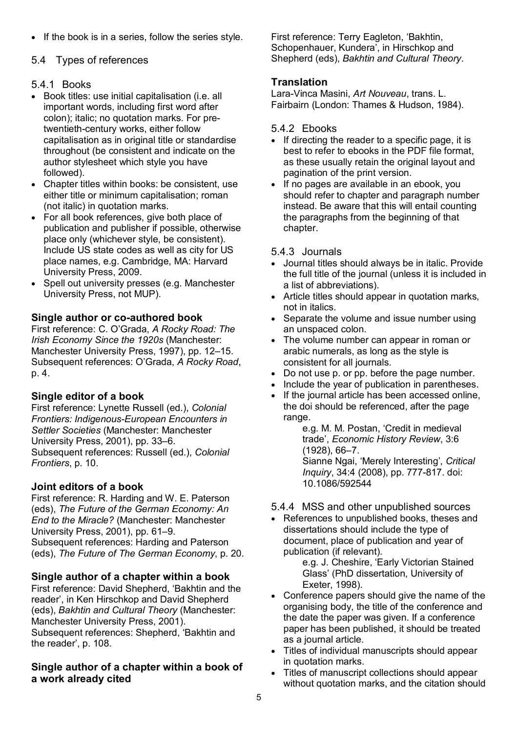• If the book is in a series, follow the series style.

#### 5.4 Types of references

#### 5.4.1 Books

- Book titles: use initial capitalisation (i.e. all important words, including first word after colon); italic; no quotation marks. For pretwentieth-century works, either follow capitalisation as in original title or standardise throughout (be consistent and indicate on the author stylesheet which style you have followed).
- Chapter titles within books: be consistent, use either title or minimum capitalisation; roman (not italic) in quotation marks.
- For all book references, give both place of publication and publisher if possible, otherwise place only (whichever style, be consistent). Include US state codes as well as city for US place names, e.g. Cambridge, MA: Harvard University Press, 2009.
- Spell out university presses (e.g. Manchester University Press, not MUP).

#### **Single author or co-authored book**

First reference: C. O'Grada, *A Rocky Road: The Irish Economy Since the 1920s* (Manchester: Manchester University Press, 1997), pp. 12–15. Subsequent references: O'Grada, *A Rocky Road*, p. 4.

## **Single editor of a book**

First reference: Lynette Russell (ed.), *Colonial Frontiers: Indigenous-European Encounters in Settler Societies* (Manchester: Manchester University Press, 2001), pp. 33–6. Subsequent references: Russell (ed.), *Colonial Frontiers*, p. 10.

## **Joint editors of a book**

First reference: R. Harding and W. E. Paterson (eds), *The Future of the German Economy: An End to the Miracle?* (Manchester: Manchester University Press, 2001), pp. 61–9. Subsequent references: Harding and Paterson (eds), *The Future of The German Economy*, p. 20.

#### **Single author of a chapter within a book**

First reference: David Shepherd, 'Bakhtin and the reader', in Ken Hirschkop and David Shepherd (eds), *Bakhtin and Cultural Theory* (Manchester: Manchester University Press, 2001).

Subsequent references: Shepherd, 'Bakhtin and the reader', p. 108.

#### **Single author of a chapter within a book of a work already cited**

First reference: Terry Eagleton, 'Bakhtin, Schopenhauer, Kundera', in Hirschkop and Shepherd (eds), *Bakhtin and Cultural Theory*.

#### **Translation**

Lara-Vinca Masini, *Art Nouveau*, trans. L. Fairbairn (London: Thames & Hudson, 1984).

#### 5.4.2 Ebooks

- If directing the reader to a specific page, it is best to refer to ebooks in the PDF file format, as these usually retain the original layout and pagination of the print version.
- If no pages are available in an ebook, you should refer to chapter and paragraph number instead. Be aware that this will entail counting the paragraphs from the beginning of that chapter.

#### 5.4.3 Journals

- Journal titles should always be in italic. Provide the full title of the journal (unless it is included in a list of abbreviations).
- Article titles should appear in quotation marks, not in italics.
- Separate the volume and issue number using an unspaced colon.
- The volume number can appear in roman or arabic numerals, as long as the style is consistent for all journals.
- Do not use p. or pp. before the page number.
- Include the year of publication in parentheses.
- If the journal article has been accessed online, the doi should be referenced, after the page range.

e.g. M. M. Postan, 'Credit in medieval trade', *Economic History Review*, 3:6 (1928), 66–7. Sianne Ngai, 'Merely Interesting', *Critical Inquiry*, 34:4 (2008), pp. 777-817. doi:

- 10.1086/592544
- 5.4.4 MSS and other unpublished sources
- References to unpublished books, theses and dissertations should include the type of document, place of publication and year of publication (if relevant).

e.g. J. Cheshire, 'Early Victorian Stained Glass' (PhD dissertation, University of Exeter, 1998).

- Conference papers should give the name of the organising body, the title of the conference and the date the paper was given. If a conference paper has been published, it should be treated as a journal article.
- Titles of individual manuscripts should appear in quotation marks.
- Titles of manuscript collections should appear without quotation marks, and the citation should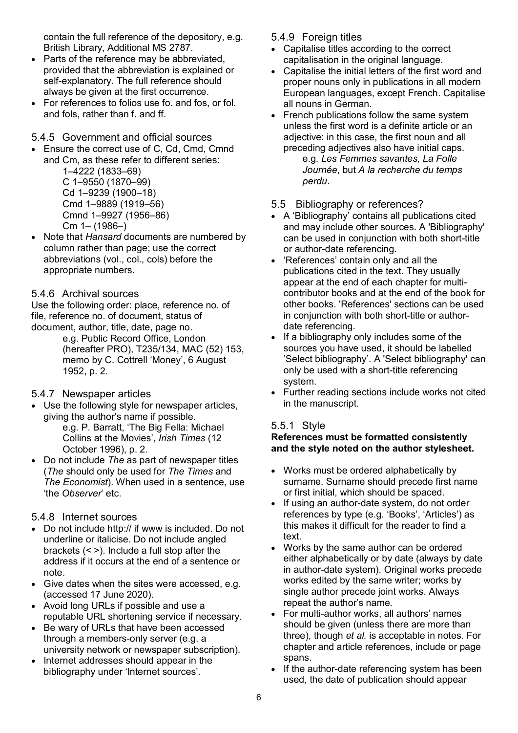contain the full reference of the depository, e.g. British Library, Additional MS 2787.

- Parts of the reference may be abbreviated. provided that the abbreviation is explained or self-explanatory. The full reference should always be given at the first occurrence.
- For references to folios use fo. and fos, or fol. and fols, rather than f. and ff.
- 5.4.5 Government and official sources
- Ensure the correct use of C, Cd, Cmd, Cmnd and Cm, as these refer to different series:

1–4222 (1833–69) C 1–9550 (1870–99) Cd 1–9239 (1900–18) Cmd 1–9889 (1919–56) Cmnd 1–9927 (1956–86)  $Cm 1 - (1986 - )$ 

• Note that *Hansard* documents are numbered by column rather than page; use the correct abbreviations (vol., col., cols) before the appropriate numbers.

#### 5.4.6 Archival sources

Use the following order: place, reference no. of file, reference no. of document, status of document, author, title, date, page no.

e.g. Public Record Office, London (hereafter PRO), T235/134, MAC (52) 153, memo by C. Cottrell 'Money', 6 August 1952, p. 2.

#### 5.4.7 Newspaper articles

- Use the following style for newspaper articles, giving the author's name if possible. e.g. P. Barratt, 'The Big Fella: Michael Collins at the Movies', *Irish Times* (12 October 1996), p. 2.
- Do not include *The* as part of newspaper titles (*The* should only be used for *The Times* and *The Economist*). When used in a sentence, use 'the *Observer*' etc.

#### 5.4.8 Internet sources

- Do not include http:// if www is included. Do not underline or italicise. Do not include angled brackets (< >). Include a full stop after the address if it occurs at the end of a sentence or note.
- Give dates when the sites were accessed, e.g. (accessed 17 June 2020).
- Avoid long URLs if possible and use a reputable URL shortening service if necessary.
- Be wary of URLs that have been accessed through a members-only server (e.g. a university network or newspaper subscription).
- Internet addresses should appear in the bibliography under 'Internet sources'.
- 5.4.9 Foreign titles
- Capitalise titles according to the correct capitalisation in the original language.
- Capitalise the initial letters of the first word and proper nouns only in publications in all modern European languages, except French. Capitalise all nouns in German.
- French publications follow the same system unless the first word is a definite article or an adjective: in this case, the first noun and all preceding adjectives also have initial caps. e.g. *Les Femmes savantes, La Folle Journée*, but *A la recherche du temps perdu*.
- 5.5 Bibliography or references?
- A 'Bibliography' contains all publications cited and may include other sources. A 'Bibliography' can be used in conjunction with both short-title or author-date referencing.
- 'References' contain only and all the publications cited in the text. They usually appear at the end of each chapter for multicontributor books and at the end of the book for other books. 'References' sections can be used in conjunction with both short-title or authordate referencing.
- If a bibliography only includes some of the sources you have used, it should be labelled 'Select bibliography'. A 'Select bibliography' can only be used with a short-title referencing system.
- Further reading sections include works not cited in the manuscript.

## 5.5.1 Style

#### **References must be formatted consistently and the style noted on the author stylesheet.**

- Works must be ordered alphabetically by surname. Surname should precede first name or first initial, which should be spaced.
- If using an author-date system, do not order references by type (e.g. 'Books', 'Articles') as this makes it difficult for the reader to find a text.
- Works by the same author can be ordered either alphabetically or by date (always by date in author-date system). Original works precede works edited by the same writer; works by single author precede joint works. Always repeat the author's name.
- For multi-author works, all authors' names should be given (unless there are more than three), though *et al.* is acceptable in notes. For chapter and article references, include or page spans.
- If the author-date referencing system has been used, the date of publication should appear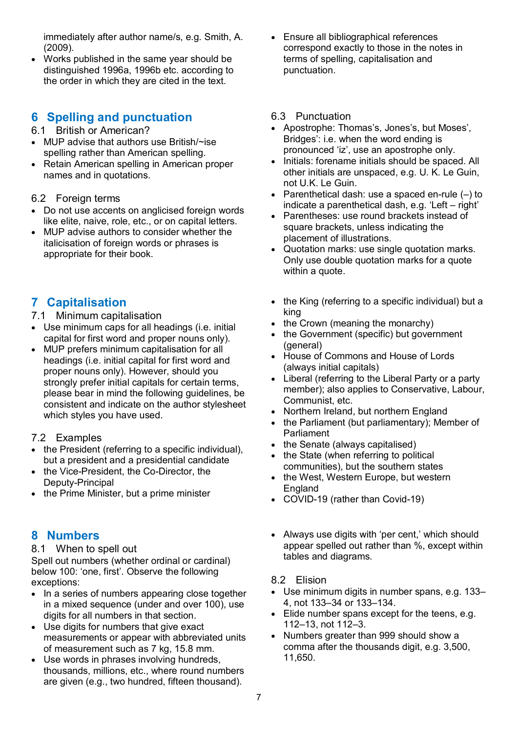immediately after author name/s, e.g. Smith, A. (2009).

• Works published in the same year should be distinguished 1996a, 1996b etc. according to the order in which they are cited in the text.

## **6 Spelling and punctuation**

- 6.1 British or American?
- MUP advise that authors use British/~ise spelling rather than American spelling.
- Retain American spelling in American proper names and in quotations.

#### <span id="page-6-0"></span>6.2 Foreign terms

- Do not use accents on anglicised foreign words like elite, naive, role, etc., or on capital letters.
- MUP advise authors to consider whether the italicisation of foreign words or phrases is appropriate for their book.

## **7 Capitalisation**

- 7.1 Minimum capitalisation
- Use minimum caps for all headings (i.e. initial capital for first word and proper nouns only).
- MUP prefers minimum capitalisation for all headings (i.e. initial capital for first word and proper nouns only). However, should you strongly prefer initial capitals for certain terms, please bear in mind the following guidelines, be consistent and indicate on the author stylesheet which styles you have used.
- 7.2 Examples
- the President (referring to a specific individual), but a president and a presidential candidate
- the Vice-President, the Co-Director, the Deputy-Principal
- the Prime Minister, but a prime minister

## **8 Numbers**

#### 8.1 When to spell out

Spell out numbers (whether ordinal or cardinal) below 100: 'one, first'. Observe the following exceptions:

- In a series of numbers appearing close together in a mixed sequence (under and over 100), use digits for all numbers in that section.
- Use digits for numbers that give exact measurements or appear with abbreviated units of measurement such as 7 kg, 15.8 mm.
- Use words in phrases involving hundreds, thousands, millions, etc., where round numbers are given (e.g., two hundred, fifteen thousand).

• Ensure all bibliographical references correspond exactly to those in the notes in terms of spelling, capitalisation and punctuation.

#### 6.3 Punctuation

- Apostrophe: Thomas's, Jones's, but Moses', Bridges': i.e. when the word ending is pronounced 'iz', use an apostrophe only.
- Initials: forename initials should be spaced. All other initials are unspaced, e.g. U. K. Le Guin, not U.K. Le Guin.
- Parenthetical dash: use a spaced en-rule  $(-)$  to indicate a parenthetical dash, e.g. 'Left – right'
- Parentheses: use round brackets instead of square brackets, unless indicating the placement of illustrations.
- Quotation marks: use single quotation marks. Only use double quotation marks for a quote within a quote.
- the King (referring to a specific individual) but a king
- the Crown (meaning the monarchy)
- the Government (specific) but government (general)
- House of Commons and House of Lords (always initial capitals)
- Liberal (referring to the Liberal Party or a party member); also applies to Conservative, Labour, Communist, etc.
- Northern Ireland, but northern England
- the Parliament (but parliamentary); Member of Parliament
- the Senate (always capitalised)
- the State (when referring to political communities), but the southern states
- the West, Western Europe, but western **England**
- COVID-19 (rather than Covid-19)
- Always use digits with 'per cent,' which should appear spelled out rather than %, except within tables and diagrams.

#### 8.2 Elision

- Use minimum digits in number spans, e.g. 133– 4, not 133–34 or 133–134.
- Elide number spans except for the teens, e.g. 112–13, not 112–3.
- Numbers greater than 999 should show a comma after the thousands digit, e.g. 3,500, 11,650.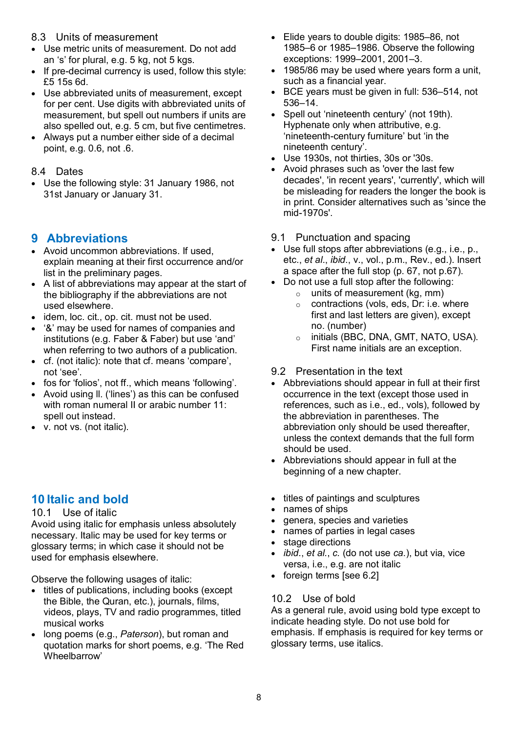#### 8.3 Units of measurement

- Use metric units of measurement. Do not add an 's' for plural, e.g. 5 kg, not 5 kgs.
- If pre-decimal currency is used, follow this style: £5 15s 6d.
- Use abbreviated units of measurement, except for per cent. Use digits with abbreviated units of measurement, but spell out numbers if units are also spelled out, e.g. 5 cm, but five centimetres.
- Always put a number either side of a decimal point, e.g. 0.6, not .6.

#### 8.4 Dates

• Use the following style: 31 January 1986, not 31st January or January 31.

## **9 Abbreviations**

- Avoid uncommon abbreviations. If used, explain meaning at their first occurrence and/or list in the preliminary pages.
- A list of abbreviations may appear at the start of the bibliography if the abbreviations are not used elsewhere.
- idem, loc. cit., op. cit. must not be used.
- '&' may be used for names of companies and institutions (e.g. Faber & Faber) but use 'and' when referring to two authors of a publication.
- cf. (not italic): note that cf. means 'compare', not 'see'.
- fos for 'folios', not ff., which means 'following'.
- Avoid using ll. ('lines') as this can be confused with roman numeral II or arabic number 11: spell out instead.
- v. not vs. (not italic).

## **10 Italic and bold**

#### 10.1 Use of italic

Avoid using italic for emphasis unless absolutely necessary. Italic may be used for key terms or glossary terms; in which case it should not be used for emphasis elsewhere.

Observe the following usages of italic:

- titles of publications, including books (except the Bible, the Quran, etc.), journals, films, videos, plays, TV and radio programmes, titled musical works
- long poems (e.g., *Paterson*), but roman and quotation marks for short poems, e.g. 'The Red Wheelbarrow'
- Elide years to double digits: 1985–86, not 1985–6 or 1985–1986. Observe the following exceptions: 1999–2001, 2001–3.
- 1985/86 may be used where years form a unit, such as a financial year.
- BCE years must be given in full: 536–514, not 536–14.
- Spell out 'nineteenth century' (not 19th). Hyphenate only when attributive, e.g. 'nineteenth-century furniture' but 'in the nineteenth century'.
- Use 1930s, not thirties, 30s or '30s.
- Avoid phrases such as 'over the last few decades', 'in recent years', 'currently', which will be misleading for readers the longer the book is in print. Consider alternatives such as 'since the mid-1970s'.
- 9.1 Punctuation and spacing
- Use full stops after abbreviations (e.g., i.e., p., etc., *et al*., *ibid*., v., vol., p.m., Rev., ed.). Insert a space after the full stop (p. 67, not p.67).
- Do not use a full stop after the following:
	- o units of measurement (kg, mm)
	- o contractions (vols, eds, Dr: i.e. where first and last letters are given), except no. (number)
	- o initials (BBC, DNA, GMT, NATO, USA). First name initials are an exception.

#### 9.2 Presentation in the text

- Abbreviations should appear in full at their first occurrence in the text (except those used in references, such as i.e., ed., vols), followed by the abbreviation in parentheses. The abbreviation only should be used thereafter, unless the context demands that the full form should be used.
- Abbreviations should appear in full at the beginning of a new chapter.
- titles of paintings and sculptures
- names of ships
- genera, species and varieties
- names of parties in legal cases
- stage directions
- *ibid*., *et al.*, *c.* (do not use *ca.*), but via, vice versa, i.e., e.g. are not italic
- foreign terms [see [6.2\]](#page-6-0)

#### 10.2 Use of bold

As a general rule, avoid using bold type except to indicate heading style. Do not use bold for emphasis. If emphasis is required for key terms or glossary terms, use italics.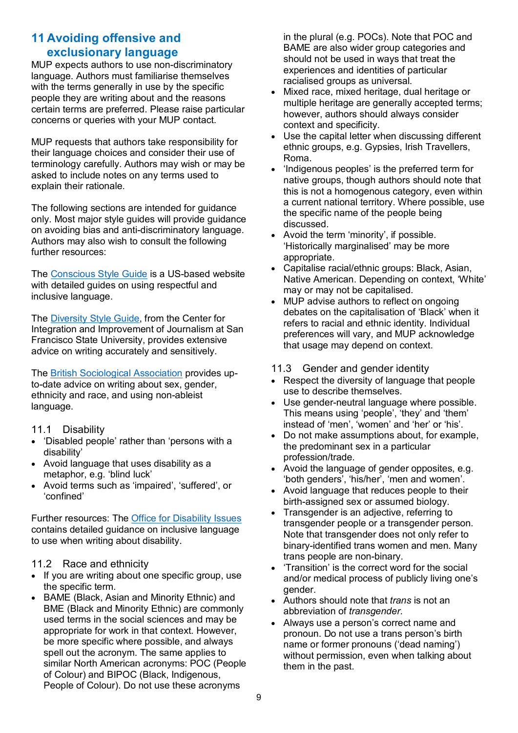## **11 Avoiding offensive and exclusionary language**

MUP expects authors to use non-discriminatory language. Authors must familiarise themselves with the terms generally in use by the specific people they are writing about and the reasons certain terms are preferred. Please raise particular concerns or queries with your MUP contact.

MUP requests that authors take responsibility for their language choices and consider their use of terminology carefully. Authors may wish or may be asked to include notes on any terms used to explain their rationale.

The following sections are intended for guidance only. Most major style guides will provide guidance on avoiding bias and anti-discriminatory language. Authors may also wish to consult the following further resources:

The [Conscious Style Guide](https://consciousstyleguide.com/) is a US-based website with detailed guides on using respectful and inclusive language.

The [Diversity Style Guide,](https://www.diversitystyleguide.com/) from the Center for Integration and Improvement of Journalism at San Francisco State University, provides extensive advice on writing accurately and sensitively.

The British [Sociological Association](https://www.britsoc.co.uk/Equality-Diversity/) provides upto-date advice on writing about sex, gender, ethnicity and race, and using non-ableist language.

#### 11.1 Disability

- 'Disabled people' rather than 'persons with a disability'
- Avoid language that uses disability as a metaphor, e.g. 'blind luck'
- Avoid terms such as 'impaired', 'suffered', or 'confined'

Further resources: The [Office for Disability Issues](https://www.gov.uk/government/publications/inclusive-communication/inclusive-language-words-to-use-and-avoid-when-writing-about-disability#language-guidelines) contains detailed guidance on inclusive language to use when writing about disability.

#### 11.2 Race and ethnicity

- If you are writing about one specific group, use the specific term.
- BAME (Black, Asian and Minority Ethnic) and BME (Black and Minority Ethnic) are commonly used terms in the social sciences and may be appropriate for work in that context. However, be more specific where possible, and always spell out the acronym. The same applies to similar North American acronyms: POC (People of Colour) and BIPOC (Black, Indigenous, People of Colour). Do not use these acronyms

in the plural (e.g. POCs). Note that POC and BAME are also wider group categories and should not be used in ways that treat the experiences and identities of particular racialised groups as universal.

- Mixed race, mixed heritage, dual heritage or multiple heritage are generally accepted terms; however, authors should always consider context and specificity.
- Use the capital letter when discussing different ethnic groups, e.g. Gypsies, Irish Travellers, Roma.
- 'Indigenous peoples' is the preferred term for native groups, though authors should note that this is not a homogenous category, even within a current national territory. Where possible, use the specific name of the people being discussed.
- Avoid the term 'minority', if possible. 'Historically marginalised' may be more appropriate.
- Capitalise racial/ethnic groups: Black, Asian, Native American. Depending on context, 'White' may or may not be capitalised.
- MUP advise authors to reflect on ongoing debates on the capitalisation of 'Black' when it refers to racial and ethnic identity. Individual preferences will vary, and MUP acknowledge that usage may depend on context.

#### 11.3 Gender and gender identity

- Respect the diversity of language that people use to describe themselves.
- Use gender-neutral language where possible. This means using 'people', 'they' and 'them' instead of 'men', 'women' and 'her' or 'his'.
- Do not make assumptions about, for example, the predominant sex in a particular profession/trade.
- Avoid the language of gender opposites, e.g. 'both genders', 'his/her', 'men and women'.
- Avoid language that reduces people to their birth-assigned sex or assumed biology.
- Transgender is an adiective, referring to transgender people or a transgender person. Note that transgender does not only refer to binary-identified trans women and men. Many trans people are non-binary.
- 'Transition' is the correct word for the social and/or medical process of publicly living one's gender.
- Authors should note that *trans* is not an abbreviation of *transgender*.
- Always use a person's correct name and pronoun. Do not use a trans person's birth name or former pronouns ('dead naming') without permission, even when talking about them in the past.